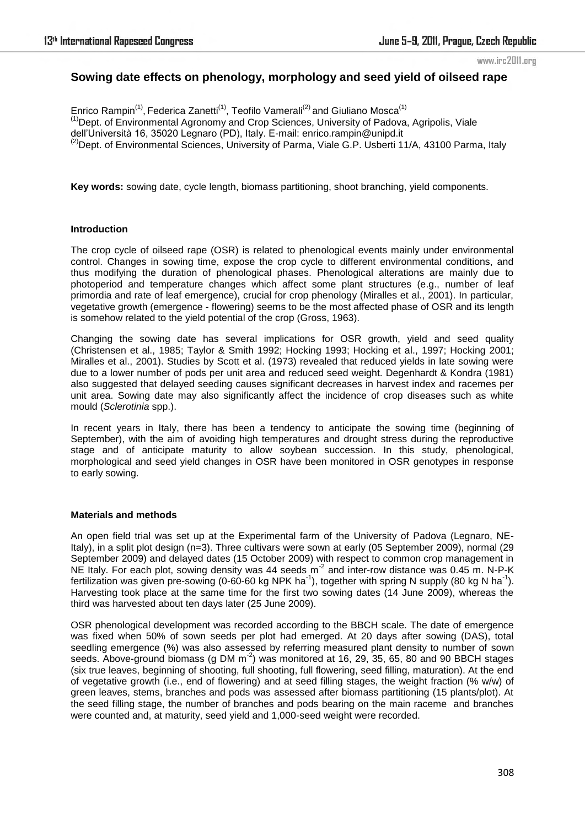www.irc2011.org

# **Sowing date effects on phenology, morphology and seed yield of oilseed rape**

Enrico Rampin<sup>(1)</sup>, Federica Zanetti<sup>(1)</sup>, Teofilo Vamerali<sup>(2)</sup> and Giuliano Mosca<sup>(1)</sup> <sup>(1)</sup>Dept. of Environmental Agronomy and Crop Sciences, University of Padova, Agripolis, Viale dell'Università 16, 35020 Legnaro (PD), Italy. E-mail: enrico.rampin@unipd.it  $^{(2)}$ Dept. of Environmental Sciences, University of Parma, Viale G.P. Usberti 11/A, 43100 Parma, Italy

**Key words:** sowing date, cycle length, biomass partitioning, shoot branching, yield components.

# **Introduction**

The crop cycle of oilseed rape (OSR) is related to phenological events mainly under environmental control. Changes in sowing time, expose the crop cycle to different environmental conditions, and thus modifying the duration of phenological phases. Phenological alterations are mainly due to photoperiod and temperature changes which affect some plant structures (e.g., number of leaf primordia and rate of leaf emergence), crucial for crop phenology (Miralles et al., 2001). In particular, vegetative growth (emergence - flowering) seems to be the most affected phase of OSR and its length is somehow related to the yield potential of the crop (Gross, 1963).

Changing the sowing date has several implications for OSR growth, yield and seed quality (Christensen et al., 1985; Taylor & Smith 1992; Hocking 1993; Hocking et al., 1997; Hocking 2001; Miralles et al., 2001). Studies by Scott et al. (1973) revealed that reduced yields in late sowing were due to a lower number of pods per unit area and reduced seed weight. Degenhardt & Kondra (1981) also suggested that delayed seeding causes significant decreases in harvest index and racemes per unit area. Sowing date may also significantly affect the incidence of crop diseases such as white mould (*Sclerotinia* spp.).

In recent years in Italy, there has been a tendency to anticipate the sowing time (beginning of September), with the aim of avoiding high temperatures and drought stress during the reproductive stage and of anticipate maturity to allow soybean succession. In this study, phenological, morphological and seed yield changes in OSR have been monitored in OSR genotypes in response to early sowing.

## **Materials and methods**

An open field trial was set up at the Experimental farm of the University of Padova (Legnaro, NE-Italy), in a split plot design (n=3). Three cultivars were sown at early (05 September 2009), normal (29 September 2009) and delayed dates (15 October 2009) with respect to common crop management in NE Italy. For each plot, sowing density was 44 seeds  $m^2$  and inter-row distance was 0.45 m. N-P-K fertilization was given pre-sowing (0-60-60 kg NPK ha<sup>-1</sup>), together with spring N supply (80 kg N ha<sup>-1</sup>). Harvesting took place at the same time for the first two sowing dates (14 June 2009), whereas the third was harvested about ten days later (25 June 2009).

OSR phenological development was recorded according to the BBCH scale. The date of emergence was fixed when 50% of sown seeds per plot had emerged. At 20 days after sowing (DAS), total seedling emergence (%) was also assessed by referring measured plant density to number of sown seeds. Above-ground biomass (g DM  $m^{-2}$ ) was monitored at 16, 29, 35, 65, 80 and 90 BBCH stages (six true leaves, beginning of shooting, full shooting, full flowering, seed filling, maturation). At the end of vegetative growth (i.e., end of flowering) and at seed filling stages, the weight fraction (% w/w) of green leaves, stems, branches and pods was assessed after biomass partitioning (15 plants/plot). At the seed filling stage, the number of branches and pods bearing on the main raceme and branches were counted and, at maturity, seed yield and 1,000-seed weight were recorded.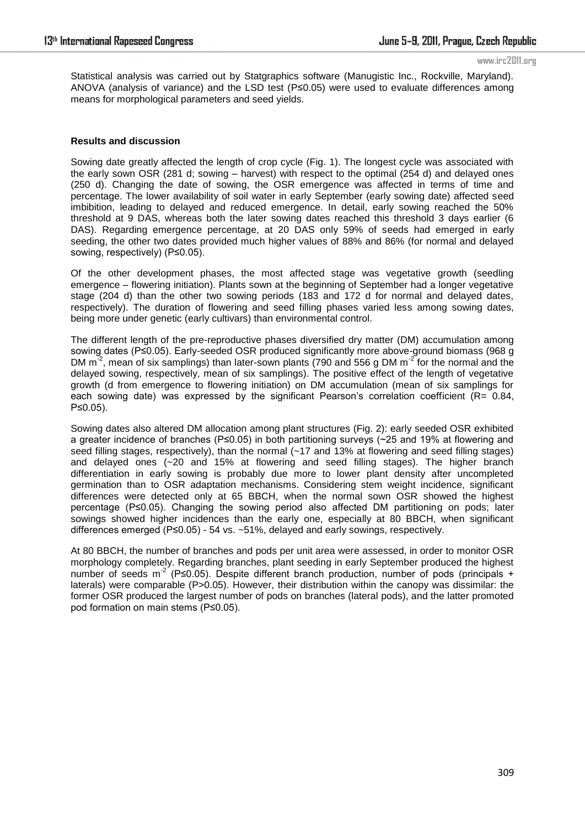www.irc2011.org

Statistical analysis was carried out by Statgraphics software (Manugistic Inc., Rockville, Maryland). ANOVA (analysis of variance) and the LSD test (P≤0.05) were used to evaluate differences among means for morphological parameters and seed yields.

# **Results and discussion**

Sowing date greatly affected the length of crop cycle (Fig. 1). The longest cycle was associated with the early sown OSR (281 d; sowing – harvest) with respect to the optimal (254 d) and delayed ones (250 d). Changing the date of sowing, the OSR emergence was affected in terms of time and percentage. The lower availability of soil water in early September (early sowing date) affected seed imbibition, leading to delayed and reduced emergence. In detail, early sowing reached the 50% threshold at 9 DAS, whereas both the later sowing dates reached this threshold 3 days earlier (6 DAS). Regarding emergence percentage, at 20 DAS only 59% of seeds had emerged in early seeding, the other two dates provided much higher values of 88% and 86% (for normal and delayed sowing, respectively) (P≤0.05).

Of the other development phases, the most affected stage was vegetative growth (seedling emergence – flowering initiation). Plants sown at the beginning of September had a longer vegetative stage (204 d) than the other two sowing periods (183 and 172 d for normal and delayed dates, respectively). The duration of flowering and seed filling phases varied less among sowing dates, being more under genetic (early cultivars) than environmental control.

The different length of the pre-reproductive phases diversified dry matter (DM) accumulation among sowing dates (P≤0.05). Early-seeded OSR produced significantly more above-ground biomass (968 g DM  $\text{m}^2$ , mean of six samplings) than later-sown plants (790 and 556 g DM  $\text{m}^2$  for the normal and the delayed sowing, respectively, mean of six samplings). The positive effect of the length of vegetative growth (d from emergence to flowering initiation) on DM accumulation (mean of six samplings for each sowing date) was expressed by the significant Pearson's correlation coefficient ( $R = 0.84$ , P≤0.05).

Sowing dates also altered DM allocation among plant structures (Fig. 2): early seeded OSR exhibited a greater incidence of branches (P≤0.05) in both partitioning surveys (~25 and 19% at flowering and seed filling stages, respectively), than the normal (~17 and 13% at flowering and seed filling stages) and delayed ones (~20 and 15% at flowering and seed filling stages). The higher branch differentiation in early sowing is probably due more to lower plant density after uncompleted germination than to OSR adaptation mechanisms. Considering stem weight incidence, significant differences were detected only at 65 BBCH, when the normal sown OSR showed the highest percentage (P≤0.05). Changing the sowing period also affected DM partitioning on pods; later sowings showed higher incidences than the early one, especially at 80 BBCH, when significant differences emerged (P≤0.05) - 54 vs. ~51%, delayed and early sowings, respectively.

At 80 BBCH, the number of branches and pods per unit area were assessed, in order to monitor OSR morphology completely. Regarding branches, plant seeding in early September produced the highest number of seeds m<sup>-2</sup> (P≤0.05). Despite different branch production, number of pods (principals + laterals) were comparable (P>0.05). However, their distribution within the canopy was dissimilar: the former OSR produced the largest number of pods on branches (lateral pods), and the latter promoted pod formation on main stems (P≤0.05).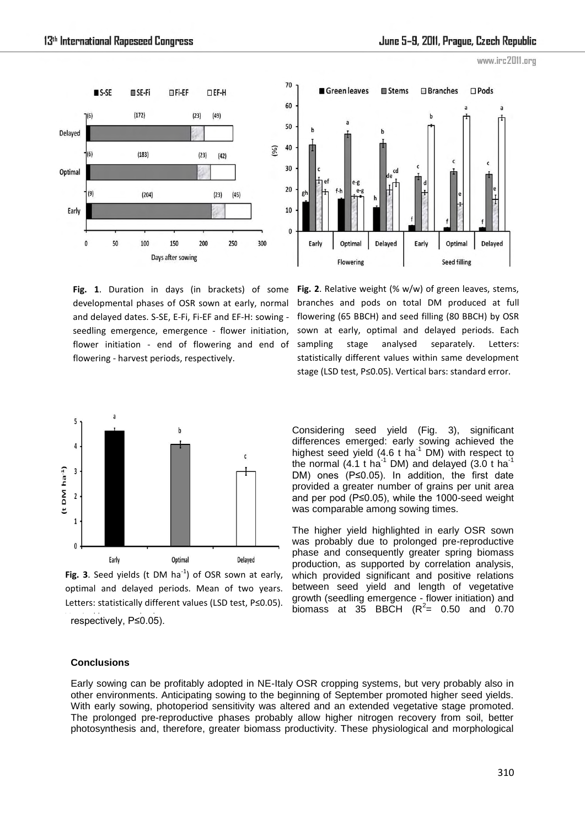





**Fig. 1**. Duration in days (in brackets) of some developmental phases of OSR sown at early, normal and delayed dates. S-SE, E-Fi, Fi-EF and EF-H: sowing seedling emergence, emergence - flower initiation, flower initiation - end of flowering and end of flowering - harvest periods, respectively.

**Fig. 2**. Relative weight (% w/w) of green leaves, stems, branches and pods on total DM produced at full flowering (65 BBCH) and seed filling (80 BBCH) by OSR sown at early, optimal and delayed periods. Each sampling stage analysed separately. Letters: statistically different values within same development stage (LSD test, P≤0.05). Vertical bars: standard error.



Fig. 3. Seed yields ( $t$  DM ha<sup>-1</sup>) of OSR sown at early, optimal and delayed periods. Mean of two years. Letters: statistically different values (LSD test, P≤0.05). respectively, P≤0.05).

Considering seed yield (Fig. 3), significant differences emerged: early sowing achieved the highest seed yield  $(4.6 \text{ t} \text{ ha}^{-1} \text{ DM})$  with respect to the normal  $(4.1 \text{ t} \text{ ha}^{-1} \text{ DM})$  and delayed  $(3.0 \text{ t} \text{ ha}^{-1})$ DM) ones (P≤0.05). In addition, the first date provided a greater number of grains per unit area and per pod (P≤0.05), while the 1000-seed weight was comparable among sowing times.

The higher yield highlighted in early OSR sown was probably due to prolonged pre-reproductive phase and consequently greater spring biomass production, as supported by correlation analysis, which provided significant and positive relations between seed yield and length of vegetative growth (seedling emergence - flower initiation) and biomass at 35 BBCH  $(R^2 = 0.50$  and 0.70

#### **Conclusions**

Early sowing can be profitably adopted in NE-Italy OSR cropping systems, but very probably also in other environments. Anticipating sowing to the beginning of September promoted higher seed yields. With early sowing, photoperiod sensitivity was altered and an extended vegetative stage promoted. The prolonged pre-reproductive phases probably allow higher nitrogen recovery from soil, better photosynthesis and, therefore, greater biomass productivity. These physiological and morphological